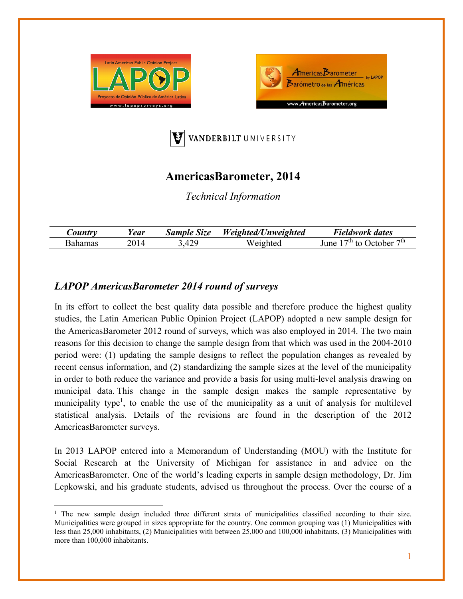





## **AmericasBarometer, 2014**

*Technical Information* 

| Year | Size<br>Sample | <b>Weighted</b><br>!/Unweighted | $\mathbf{r}$<br>dates<br>Fieldwork          |
|------|----------------|---------------------------------|---------------------------------------------|
|      | 10 Q<br>т∠.    | Weighted                        | $\tau$ th<br>−th.<br>lune<br>ober<br>፡ ተ∩ - |

## *LAPOP AmericasBarometer 2014 round of surveys*

In its effort to collect the best quality data possible and therefore produce the highest quality studies, the Latin American Public Opinion Project (LAPOP) adopted a new sample design for the AmericasBarometer 2012 round of surveys, which was also employed in 2014. The two main reasons for this decision to change the sample design from that which was used in the 2004-2010 period were: (1) updating the sample designs to reflect the population changes as revealed by recent census information, and (2) standardizing the sample sizes at the level of the municipality in order to both reduce the variance and provide a basis for using multi-level analysis drawing on municipal data. This change in the sample design makes the sample representative by municipality type<sup>1</sup>, to enable the use of the municipality as a unit of analysis for multilevel statistical analysis. Details of the revisions are found in the description of the 2012 AmericasBarometer surveys.

In 2013 LAPOP entered into a Memorandum of Understanding (MOU) with the Institute for Social Research at the University of Michigan for assistance in and advice on the AmericasBarometer. One of the world's leading experts in sample design methodology, Dr. Jim Lepkowski, and his graduate students, advised us throughout the process. Over the course of a

<sup>&</sup>lt;sup>1</sup> The new sample design included three different strata of municipalities classified according to their size. Municipalities were grouped in sizes appropriate for the country. One common grouping was (1) Municipalities with less than 25,000 inhabitants, (2) Municipalities with between 25,000 and 100,000 inhabitants, (3) Municipalities with more than 100,000 inhabitants.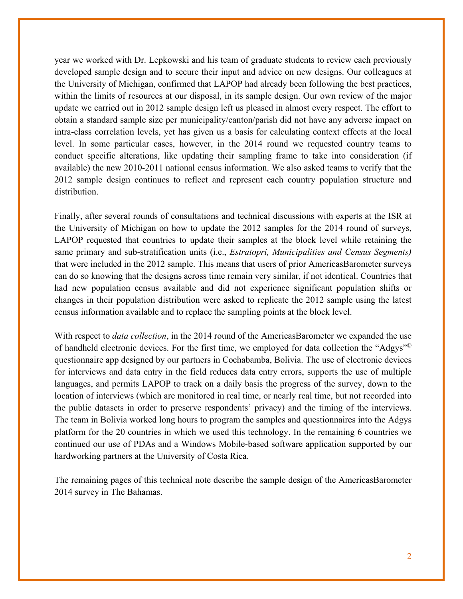year we worked with Dr. Lepkowski and his team of graduate students to review each previously developed sample design and to secure their input and advice on new designs. Our colleagues at the University of Michigan, confirmed that LAPOP had already been following the best practices, within the limits of resources at our disposal, in its sample design. Our own review of the major update we carried out in 2012 sample design left us pleased in almost every respect. The effort to obtain a standard sample size per municipality/canton/parish did not have any adverse impact on intra-class correlation levels, yet has given us a basis for calculating context effects at the local level. In some particular cases, however, in the 2014 round we requested country teams to conduct specific alterations, like updating their sampling frame to take into consideration (if available) the new 2010-2011 national census information. We also asked teams to verify that the 2012 sample design continues to reflect and represent each country population structure and distribution.

Finally, after several rounds of consultations and technical discussions with experts at the ISR at the University of Michigan on how to update the 2012 samples for the 2014 round of surveys, LAPOP requested that countries to update their samples at the block level while retaining the same primary and sub-stratification units (i.e., *Estratopri, Municipalities and Census Segments)*  that were included in the 2012 sample. This means that users of prior AmericasBarometer surveys can do so knowing that the designs across time remain very similar, if not identical. Countries that had new population census available and did not experience significant population shifts or changes in their population distribution were asked to replicate the 2012 sample using the latest census information available and to replace the sampling points at the block level.

With respect to *data collection*, in the 2014 round of the AmericasBarometer we expanded the use of handheld electronic devices. For the first time, we employed for data collection the "Adgys"© questionnaire app designed by our partners in Cochabamba, Bolivia. The use of electronic devices for interviews and data entry in the field reduces data entry errors, supports the use of multiple languages, and permits LAPOP to track on a daily basis the progress of the survey, down to the location of interviews (which are monitored in real time, or nearly real time, but not recorded into the public datasets in order to preserve respondents' privacy) and the timing of the interviews. The team in Bolivia worked long hours to program the samples and questionnaires into the Adgys platform for the 20 countries in which we used this technology. In the remaining 6 countries we continued our use of PDAs and a Windows Mobile-based software application supported by our hardworking partners at the University of Costa Rica.

The remaining pages of this technical note describe the sample design of the AmericasBarometer 2014 survey in The Bahamas.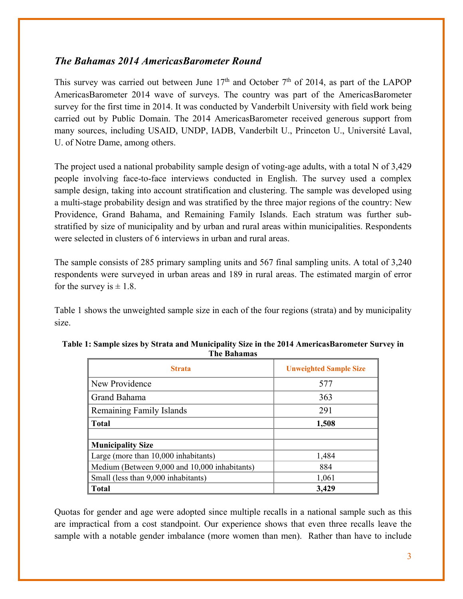## *The Bahamas 2014 AmericasBarometer Round*

This survey was carried out between June  $17<sup>th</sup>$  and October  $7<sup>th</sup>$  of 2014, as part of the LAPOP AmericasBarometer 2014 wave of surveys. The country was part of the AmericasBarometer survey for the first time in 2014. It was conducted by Vanderbilt University with field work being carried out by Public Domain. The 2014 AmericasBarometer received generous support from many sources, including USAID, UNDP, IADB, Vanderbilt U., Princeton U., Université Laval, U. of Notre Dame, among others.

The project used a national probability sample design of voting-age adults, with a total N of 3,429 people involving face-to-face interviews conducted in English. The survey used a complex sample design, taking into account stratification and clustering. The sample was developed using a multi-stage probability design and was stratified by the three major regions of the country: New Providence, Grand Bahama, and Remaining Family Islands. Each stratum was further substratified by size of municipality and by urban and rural areas within municipalities. Respondents were selected in clusters of 6 interviews in urban and rural areas.

The sample consists of 285 primary sampling units and 567 final sampling units. A total of 3,240 respondents were surveyed in urban areas and 189 in rural areas. The estimated margin of error for the survey is  $\pm$  1.8.

Table 1 shows the unweighted sample size in each of the four regions (strata) and by municipality size.

| <b>Strata</b>                                 | <b>Unweighted Sample Size</b> |
|-----------------------------------------------|-------------------------------|
| New Providence                                | 577                           |
| Grand Bahama                                  | 363                           |
| Remaining Family Islands                      | 291                           |
| <b>Total</b>                                  | 1,508                         |
|                                               |                               |
| <b>Municipality Size</b>                      |                               |
| Large (more than 10,000 inhabitants)          | 1,484                         |
| Medium (Between 9,000 and 10,000 inhabitants) | 884                           |
| Small (less than 9,000 inhabitants)           | 1,061                         |
| <b>Total</b>                                  | 3,429                         |

| Table 1: Sample sizes by Strata and Municipality Size in the 2014 AmericasBarometer Survey in |  |
|-----------------------------------------------------------------------------------------------|--|
| The Bahamas                                                                                   |  |

Quotas for gender and age were adopted since multiple recalls in a national sample such as this are impractical from a cost standpoint. Our experience shows that even three recalls leave the sample with a notable gender imbalance (more women than men). Rather than have to include